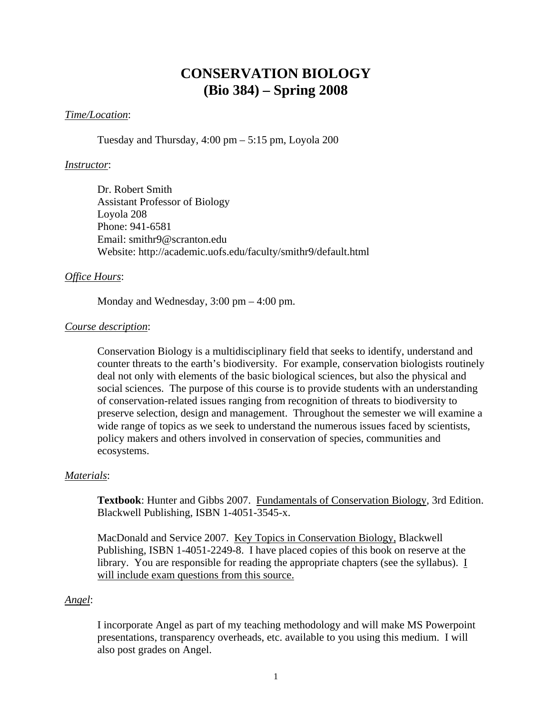## **CONSERVATION BIOLOGY (Bio 384) – Spring 2008**

## *Time/Location*:

Tuesday and Thursday,  $4:00 \text{ pm} - 5:15 \text{ pm}$ , Loyola 200

## *Instructor*:

Dr. Robert Smith Assistant Professor of Biology Loyola 208 Phone: 941-6581 Email: smithr9@scranton.edu Website: http://academic.uofs.edu/faculty/smithr9/default.html

## *Office Hours*:

Monday and Wednesday, 3:00 pm – 4:00 pm.

## *Course description*:

Conservation Biology is a multidisciplinary field that seeks to identify, understand and counter threats to the earth's biodiversity. For example, conservation biologists routinely deal not only with elements of the basic biological sciences, but also the physical and social sciences. The purpose of this course is to provide students with an understanding of conservation-related issues ranging from recognition of threats to biodiversity to preserve selection, design and management. Throughout the semester we will examine a wide range of topics as we seek to understand the numerous issues faced by scientists, policy makers and others involved in conservation of species, communities and ecosystems.

## *Materials*:

**Textbook**: Hunter and Gibbs 2007. Fundamentals of Conservation Biology, 3rd Edition. Blackwell Publishing, ISBN 1-4051-3545-x.

MacDonald and Service 2007. Key Topics in Conservation Biology, Blackwell Publishing, ISBN 1-4051-2249-8. I have placed copies of this book on reserve at the library. You are responsible for reading the appropriate chapters (see the syllabus). I will include exam questions from this source.

## *Angel*:

I incorporate Angel as part of my teaching methodology and will make MS Powerpoint presentations, transparency overheads, etc. available to you using this medium. I will also post grades on Angel.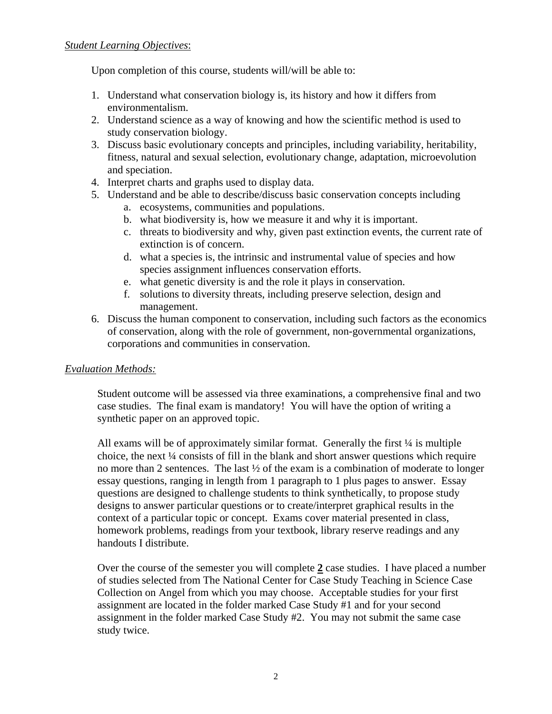Upon completion of this course, students will/will be able to:

- 1. Understand what conservation biology is, its history and how it differs from environmentalism.
- 2. Understand science as a way of knowing and how the scientific method is used to study conservation biology.
- 3. Discuss basic evolutionary concepts and principles, including variability, heritability, fitness, natural and sexual selection, evolutionary change, adaptation, microevolution and speciation.
- 4. Interpret charts and graphs used to display data.
- 5. Understand and be able to describe/discuss basic conservation concepts including
	- a. ecosystems, communities and populations.
	- b. what biodiversity is, how we measure it and why it is important.
	- c. threats to biodiversity and why, given past extinction events, the current rate of extinction is of concern.
	- d. what a species is, the intrinsic and instrumental value of species and how species assignment influences conservation efforts.
	- e. what genetic diversity is and the role it plays in conservation.
	- f. solutions to diversity threats, including preserve selection, design and management.
- 6. Discuss the human component to conservation, including such factors as the economics of conservation, along with the role of government, non-governmental organizations, corporations and communities in conservation.

## *Evaluation Methods:*

Student outcome will be assessed via three examinations, a comprehensive final and two case studies. The final exam is mandatory! You will have the option of writing a synthetic paper on an approved topic.

All exams will be of approximately similar format. Generally the first  $\frac{1}{4}$  is multiple choice, the next ¼ consists of fill in the blank and short answer questions which require no more than 2 sentences. The last ½ of the exam is a combination of moderate to longer essay questions, ranging in length from 1 paragraph to 1 plus pages to answer. Essay questions are designed to challenge students to think synthetically, to propose study designs to answer particular questions or to create/interpret graphical results in the context of a particular topic or concept. Exams cover material presented in class, homework problems, readings from your textbook, library reserve readings and any handouts I distribute.

Over the course of the semester you will complete **2** case studies. I have placed a number of studies selected from The National Center for Case Study Teaching in Science Case Collection on Angel from which you may choose. Acceptable studies for your first assignment are located in the folder marked Case Study #1 and for your second assignment in the folder marked Case Study #2. You may not submit the same case study twice.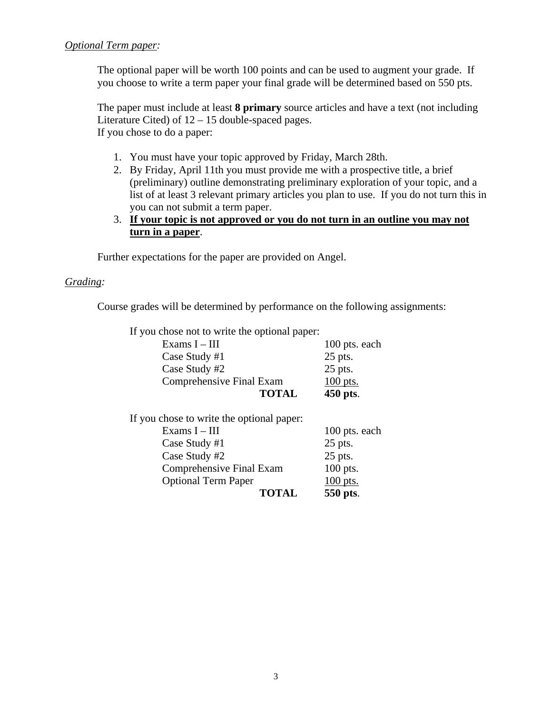The optional paper will be worth 100 points and can be used to augment your grade. If you choose to write a term paper your final grade will be determined based on 550 pts.

The paper must include at least **8 primary** source articles and have a text (not including Literature Cited) of 12 – 15 double-spaced pages. If you chose to do a paper:

- 1. You must have your topic approved by Friday, March 28th.
- 2. By Friday, April 11th you must provide me with a prospective title, a brief (preliminary) outline demonstrating preliminary exploration of your topic, and a list of at least 3 relevant primary articles you plan to use. If you do not turn this in you can not submit a term paper.
- 3. **If your topic is not approved or you do not turn in an outline you may not turn in a paper**.

Further expectations for the paper are provided on Angel.

## *Grading:*

Course grades will be determined by performance on the following assignments:

If you chose not to write the optional paper:

| Exams $I - III$                 | 100 pts. each |
|---------------------------------|---------------|
| Case Study #1                   | 25 pts.       |
| Case Study #2                   | 25 pts.       |
| <b>Comprehensive Final Exam</b> | $100$ pts.    |
| <b>TOTAL</b>                    | 450 pts.      |

| 100 pts. each |
|---------------|
| $25$ pts.     |
| 25 pts.       |
| 100 pts.      |
| 100 pts.      |
| 550 pts.      |
|               |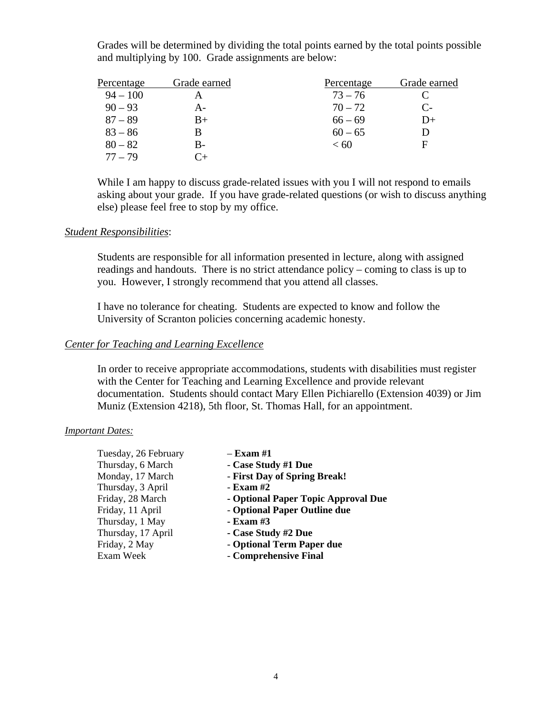Grades will be determined by dividing the total points earned by the total points possible and multiplying by 100. Grade assignments are below:

| Percentage | Grade earned | Percentage | Grade earned |
|------------|--------------|------------|--------------|
| $94 - 100$ |              | $73 - 76$  |              |
| $90 - 93$  | А-           | $70 - 72$  | $C_{\tau}$   |
| $87 - 89$  | $B+$         | $66 - 69$  | D+           |
| $83 - 86$  | В            | $60 - 65$  | I)           |
| $80 - 82$  | B-           | < 60       | F            |
| $77 - 79$  |              |            |              |

While I am happy to discuss grade-related issues with you I will not respond to emails asking about your grade. If you have grade-related questions (or wish to discuss anything else) please feel free to stop by my office.

## *Student Responsibilities*:

Students are responsible for all information presented in lecture, along with assigned readings and handouts. There is no strict attendance policy – coming to class is up to you. However, I strongly recommend that you attend all classes.

I have no tolerance for cheating. Students are expected to know and follow the University of Scranton policies concerning academic honesty.

## *Center for Teaching and Learning Excellence*

In order to receive appropriate accommodations, students with disabilities must register with the Center for Teaching and Learning Excellence and provide relevant documentation. Students should contact Mary Ellen Pichiarello (Extension 4039) or Jim Muniz (Extension 4218), 5th floor, St. Thomas Hall, for an appointment.

## *Important Dates:*

| Tuesday, 26 February | – Exam #1                           |
|----------------------|-------------------------------------|
| Thursday, 6 March    | - Case Study #1 Due                 |
| Monday, 17 March     | - First Day of Spring Break!        |
| Thursday, 3 April    | - Exam #2                           |
| Friday, 28 March     | - Optional Paper Topic Approval Due |
| Friday, 11 April     | - Optional Paper Outline due        |
| Thursday, 1 May      | - Exam #3                           |
| Thursday, 17 April   | - Case Study #2 Due                 |
| Friday, 2 May        | - Optional Term Paper due           |
| Exam Week            | - Comprehensive Final               |